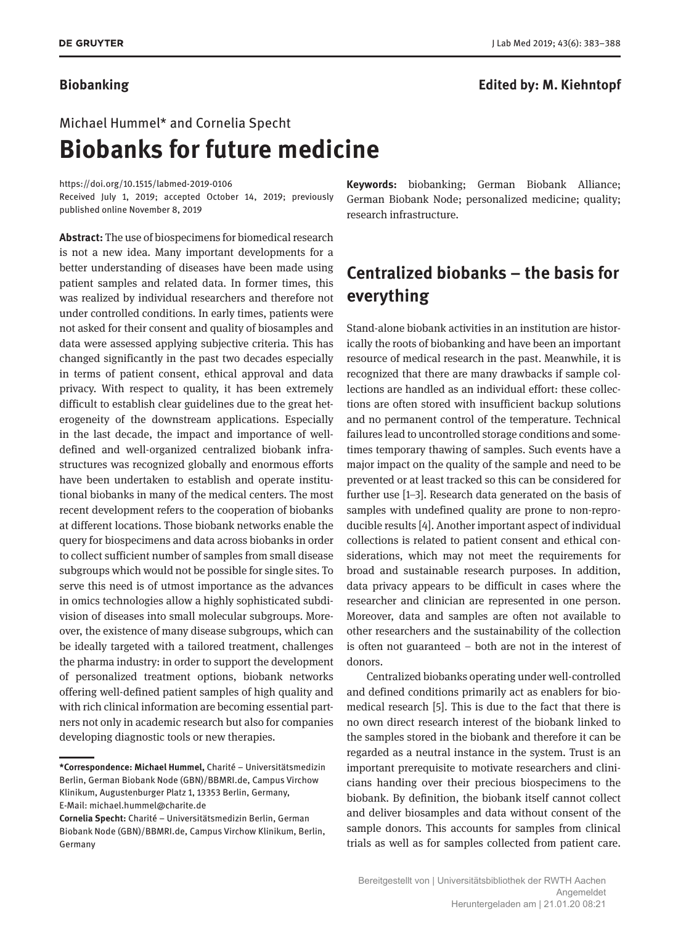### **Biobanking Edited by: M. Kiehntopf**

# Michael Hummel\* and Cornelia Specht **Biobanks for future medicine**

<https://doi.org/10.1515/labmed-2019-0106>

Received July 1, 2019; accepted October 14, 2019; previously published online November 8, 2019

**Abstract:** The use of biospecimens for biomedical research is not a new idea. Many important developments for a better understanding of diseases have been made using patient samples and related data. In former times, this was realized by individual researchers and therefore not under controlled conditions. In early times, patients were not asked for their consent and quality of biosamples and data were assessed applying subjective criteria. This has changed significantly in the past two decades especially in terms of patient consent, ethical approval and data privacy. With respect to quality, it has been extremely difficult to establish clear guidelines due to the great heterogeneity of the downstream applications. Especially in the last decade, the impact and importance of welldefined and well-organized centralized biobank infrastructures was recognized globally and enormous efforts have been undertaken to establish and operate institutional biobanks in many of the medical centers. The most recent development refers to the cooperation of biobanks at different locations. Those biobank networks enable the query for biospecimens and data across biobanks in order to collect sufficient number of samples from small disease subgroups which would not be possible for single sites. To serve this need is of utmost importance as the advances in omics technologies allow a highly sophisticated subdivision of diseases into small molecular subgroups. Moreover, the existence of many disease subgroups, which can be ideally targeted with a tailored treatment, challenges the pharma industry: in order to support the development of personalized treatment options, biobank networks offering well-defined patient samples of high quality and with rich clinical information are becoming essential partners not only in academic research but also for companies developing diagnostic tools or new therapies.

**Keywords:** biobanking; German Biobank Alliance; German Biobank Node; personalized medicine; quality; research infrastructure.

# **Centralized biobanks – the basis for everything**

Stand-alone biobank activities in an institution are historically the roots of biobanking and have been an important resource of medical research in the past. Meanwhile, it is recognized that there are many drawbacks if sample collections are handled as an individual effort: these collections are often stored with insufficient backup solutions and no permanent control of the temperature. Technical failures lead to uncontrolled storage conditions and sometimes temporary thawing of samples. Such events have a major impact on the quality of the sample and need to be prevented or at least tracked so this can be considered for further use [1–3]. Research data generated on the basis of samples with undefined quality are prone to non-reproducible results [4]. Another important aspect of individual collections is related to patient consent and ethical considerations, which may not meet the requirements for broad and sustainable research purposes. In addition, data privacy appears to be difficult in cases where the researcher and clinician are represented in one person. Moreover, data and samples are often not available to other researchers and the sustainability of the collection is often not guaranteed – both are not in the interest of donors.

Centralized biobanks operating under well-controlled and defined conditions primarily act as enablers for biomedical research [5]. This is due to the fact that there is no own direct research interest of the biobank linked to the samples stored in the biobank and therefore it can be regarded as a neutral instance in the system. Trust is an important prerequisite to motivate researchers and clinicians handing over their precious biospecimens to the biobank. By definition, the biobank itself cannot collect and deliver biosamples and data without consent of the sample donors. This accounts for samples from clinical trials as well as for samples collected from patient care.

**<sup>\*</sup>Correspondence: Michael Hummel,** Charité – Universitätsmedizin Berlin, German Biobank Node (GBN)/BBMRI.de, Campus Virchow Klinikum, Augustenburger Platz 1, 13353 Berlin, Germany, E-Mail: [michael.hummel@charite.de](mailto:michael.hummel@charite.de)

**Cornelia Specht:** Charité – Universitätsmedizin Berlin, German Biobank Node (GBN)/BBMRI.de, Campus Virchow Klinikum, Berlin, Germany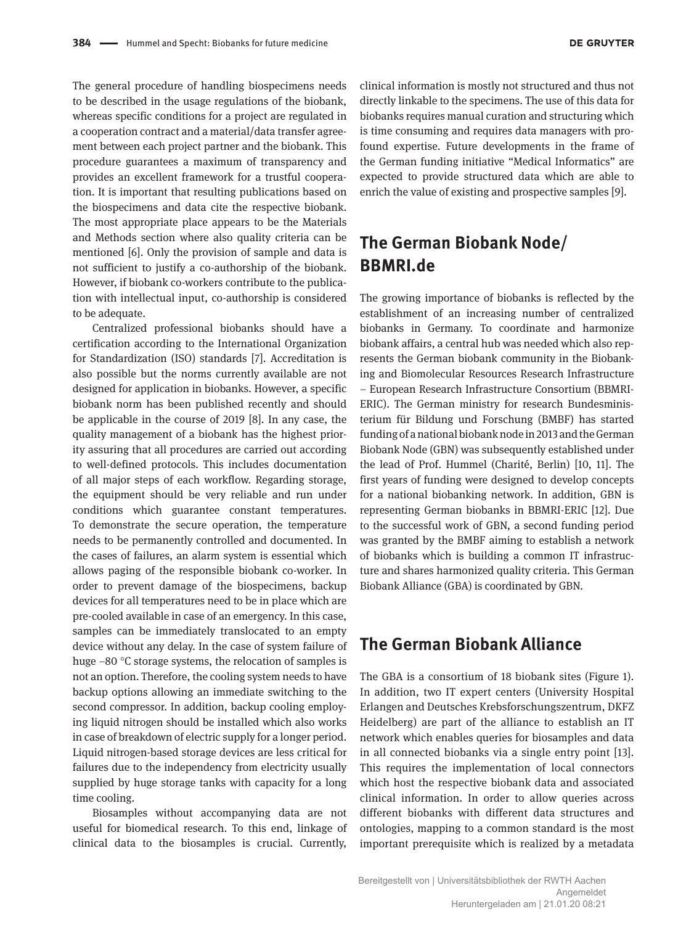The general procedure of handling biospecimens needs to be described in the usage regulations of the biobank, whereas specific conditions for a project are regulated in a cooperation contract and a material/data transfer agreement between each project partner and the biobank. This procedure guarantees a maximum of transparency and provides an excellent framework for a trustful cooperation. It is important that resulting publications based on the biospecimens and data cite the respective biobank. The most appropriate place appears to be the Materials and Methods section where also quality criteria can be mentioned [6]. Only the provision of sample and data is not sufficient to justify a co-authorship of the biobank. However, if biobank co-workers contribute to the publication with intellectual input, co-authorship is considered to be adequate.

Centralized professional biobanks should have a certification according to the International Organization for Standardization (ISO) standards [7]. Accreditation is also possible but the norms currently available are not designed for application in biobanks. However, a specific biobank norm has been published recently and should be applicable in the course of 2019 [8]. In any case, the quality management of a biobank has the highest priority assuring that all procedures are carried out according to well-defined protocols. This includes documentation of all major steps of each workflow. Regarding storage, the equipment should be very reliable and run under conditions which guarantee constant temperatures. To demonstrate the secure operation, the temperature needs to be permanently controlled and documented. In the cases of failures, an alarm system is essential which allows paging of the responsible biobank co-worker. In order to prevent damage of the biospecimens, backup devices for all temperatures need to be in place which are pre-cooled available in case of an emergency. In this case, samples can be immediately translocated to an empty device without any delay. In the case of system failure of huge −80 °C storage systems, the relocation of samples is not an option. Therefore, the cooling system needs to have backup options allowing an immediate switching to the second compressor. In addition, backup cooling employing liquid nitrogen should be installed which also works in case of breakdown of electric supply for a longer period. Liquid nitrogen-based storage devices are less critical for failures due to the independency from electricity usually supplied by huge storage tanks with capacity for a long time cooling.

Biosamples without accompanying data are not useful for biomedical research. To this end, linkage of clinical data to the biosamples is crucial. Currently,

clinical information is mostly not structured and thus not directly linkable to the specimens. The use of this data for biobanks requires manual curation and structuring which is time consuming and requires data managers with profound expertise. Future developments in the frame of the German funding initiative "Medical Informatics" are expected to provide structured data which are able to enrich the value of existing and prospective samples [9].

# **The German Biobank Node/ BBMRI.de**

The growing importance of biobanks is reflected by the establishment of an increasing number of centralized biobanks in Germany. To coordinate and harmonize biobank affairs, a central hub was needed which also represents the German biobank community in the Biobanking and Biomolecular Resources Research Infrastructure – European Research Infrastructure Consortium (BBMRI-ERIC). The German ministry for research Bundesministerium für Bildung und Forschung (BMBF) has started funding of a national biobank node in 2013 and the German Biobank Node (GBN) was subsequently established under the lead of Prof. Hummel (Charité, Berlin) [10, 11]. The first years of funding were designed to develop concepts for a national biobanking network. In addition, GBN is representing German biobanks in BBMRI-ERIC [12]. Due to the successful work of GBN, a second funding period was granted by the BMBF aiming to establish a network of biobanks which is building a common IT infrastructure and shares harmonized quality criteria. This German Biobank Alliance (GBA) is coordinated by GBN.

## **The German Biobank Alliance**

The GBA is a consortium of 18 biobank sites (Figure 1). In addition, two IT expert centers (University Hospital Erlangen and Deutsches Krebsforschungszentrum, DKFZ Heidelberg) are part of the alliance to establish an IT network which enables queries for biosamples and data in all connected biobanks via a single entry point [13]. This requires the implementation of local connectors which host the respective biobank data and associated clinical information. In order to allow queries across different biobanks with different data structures and ontologies, mapping to a common standard is the most important prerequisite which is realized by a metadata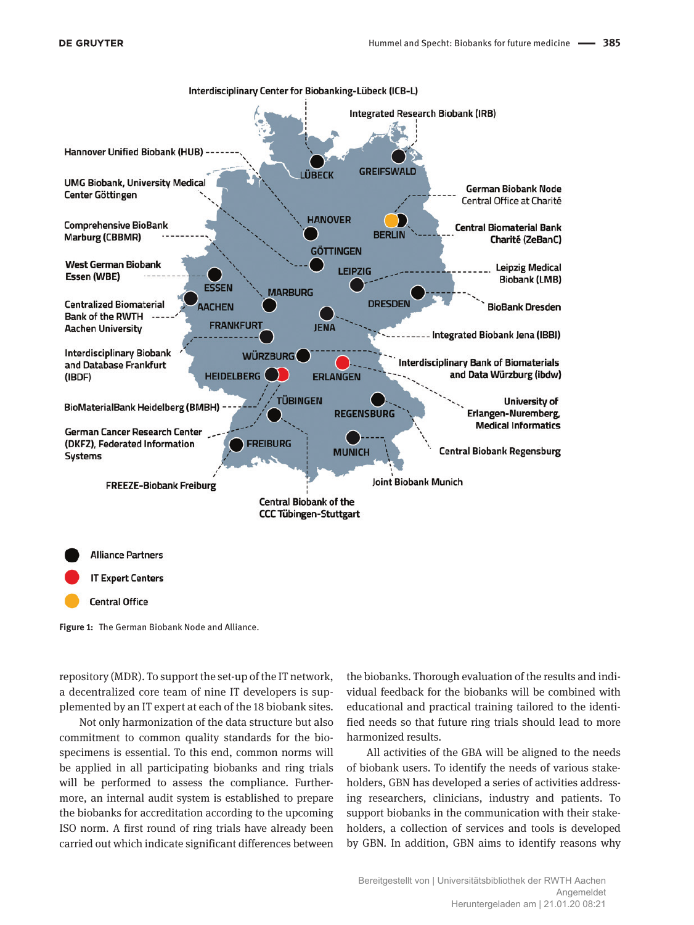

Interdisciplinary Center for Biobanking-Lübeck (ICB-L)

**Figure 1:** The German Biobank Node and Alliance.

repository (MDR). To support the set-up of the IT network, a decentralized core team of nine IT developers is supplemented by an IT expert at each of the 18 biobank sites.

Not only harmonization of the data structure but also commitment to common quality standards for the biospecimens is essential. To this end, common norms will be applied in all participating biobanks and ring trials will be performed to assess the compliance. Furthermore, an internal audit system is established to prepare the biobanks for accreditation according to the upcoming ISO norm. A first round of ring trials have already been carried out which indicate significant differences between

the biobanks. Thorough evaluation of the results and individual feedback for the biobanks will be combined with educational and practical training tailored to the identified needs so that future ring trials should lead to more harmonized results.

All activities of the GBA will be aligned to the needs of biobank users. To identify the needs of various stakeholders, GBN has developed a series of activities addressing researchers, clinicians, industry and patients. To support biobanks in the communication with their stakeholders, a collection of services and tools is developed by GBN. In addition, GBN aims to identify reasons why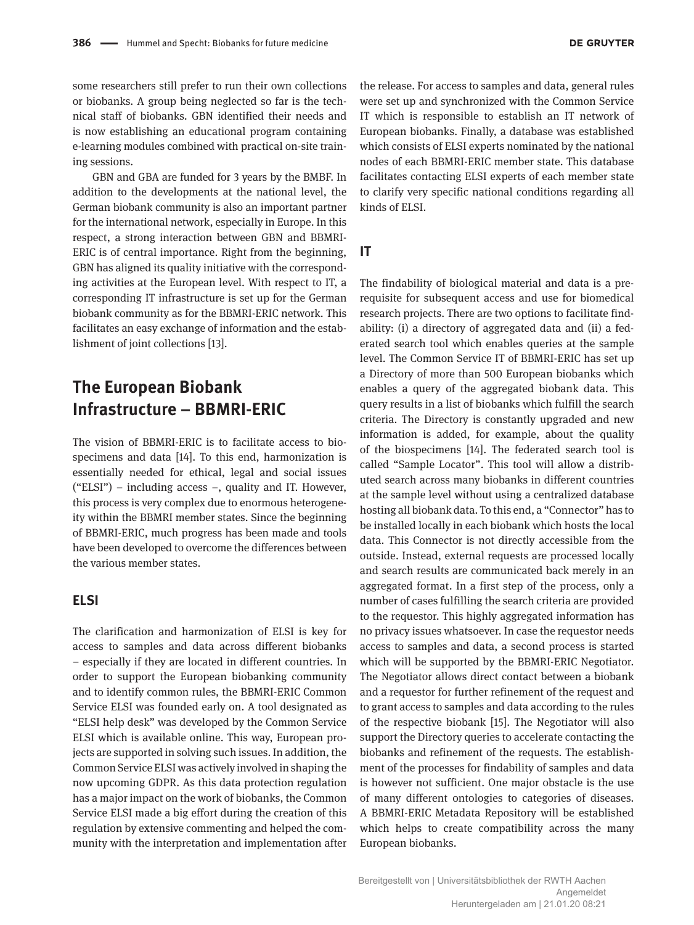some researchers still prefer to run their own collections or biobanks. A group being neglected so far is the technical staff of biobanks. GBN identified their needs and is now establishing an educational program containing e-learning modules combined with practical on-site training sessions.

GBN and GBA are funded for 3 years by the BMBF. In addition to the developments at the national level, the German biobank community is also an important partner for the international network, especially in Europe. In this respect, a strong interaction between GBN and BBMRI-ERIC is of central importance. Right from the beginning, GBN has aligned its quality initiative with the corresponding activities at the European level. With respect to IT, a corresponding IT infrastructure is set up for the German biobank community as for the BBMRI-ERIC network. This facilitates an easy exchange of information and the establishment of joint collections [13].

# **The European Biobank Infrastructure – BBMRI-ERIC**

The vision of BBMRI-ERIC is to facilitate access to biospecimens and data [14]. To this end, harmonization is essentially needed for ethical, legal and social issues ("ELSI") – including access –, quality and IT. However, this process is very complex due to enormous heterogeneity within the BBMRI member states. Since the beginning of BBMRI-ERIC, much progress has been made and tools have been developed to overcome the differences between the various member states.

### **ELSI**

The clarification and harmonization of ELSI is key for access to samples and data across different biobanks – especially if they are located in different countries. In order to support the European biobanking community and to identify common rules, the BBMRI-ERIC Common Service ELSI was founded early on. A tool designated as "ELSI help desk" was developed by the Common Service ELSI which is available online. This way, European projects are supported in solving such issues. In addition, the Common Service ELSI was actively involved in shaping the now upcoming GDPR. As this data protection regulation has a major impact on the work of biobanks, the Common Service ELSI made a big effort during the creation of this regulation by extensive commenting and helped the community with the interpretation and implementation after

the release. For access to samples and data, general rules were set up and synchronized with the Common Service IT which is responsible to establish an IT network of European biobanks. Finally, a database was established which consists of ELSI experts nominated by the national nodes of each BBMRI-ERIC member state. This database facilitates contacting ELSI experts of each member state to clarify very specific national conditions regarding all kinds of ELSI.

**IT**

The findability of biological material and data is a prerequisite for subsequent access and use for biomedical research projects. There are two options to facilitate findability: (i) a directory of aggregated data and (ii) a federated search tool which enables queries at the sample level. The Common Service IT of BBMRI-ERIC has set up a Directory of more than 500 European biobanks which enables a query of the aggregated biobank data. This query results in a list of biobanks which fulfill the search criteria. The Directory is constantly upgraded and new information is added, for example, about the quality of the biospecimens [14]. The federated search tool is called "Sample Locator". This tool will allow a distributed search across many biobanks in different countries at the sample level without using a centralized database hosting all biobank data. To this end, a "Connector" has to be installed locally in each biobank which hosts the local data. This Connector is not directly accessible from the outside. Instead, external requests are processed locally and search results are communicated back merely in an aggregated format. In a first step of the process, only a number of cases fulfilling the search criteria are provided to the requestor. This highly aggregated information has no privacy issues whatsoever. In case the requestor needs access to samples and data, a second process is started which will be supported by the BBMRI-ERIC Negotiator. The Negotiator allows direct contact between a biobank and a requestor for further refinement of the request and to grant access to samples and data according to the rules of the respective biobank [15]. The Negotiator will also support the Directory queries to accelerate contacting the biobanks and refinement of the requests. The establishment of the processes for findability of samples and data is however not sufficient. One major obstacle is the use of many different ontologies to categories of diseases. A BBMRI-ERIC Metadata Repository will be established which helps to create compatibility across the many European biobanks.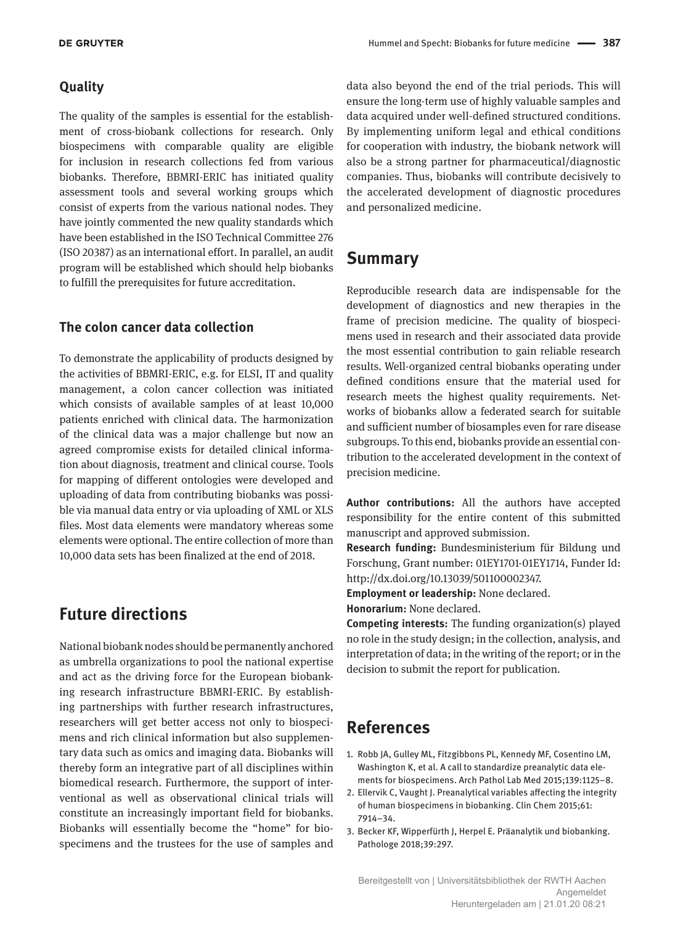#### **Quality**

The quality of the samples is essential for the establishment of cross-biobank collections for research. Only biospecimens with comparable quality are eligible for inclusion in research collections fed from various biobanks. Therefore, BBMRI-ERIC has initiated quality assessment tools and several working groups which consist of experts from the various national nodes. They have jointly commented the new quality standards which have been established in the ISO Technical Committee 276 (ISO 20387) as an international effort. In parallel, an audit program will be established which should help biobanks to fulfill the prerequisites for future accreditation.

### **The colon cancer data collection**

To demonstrate the applicability of products designed by the activities of BBMRI-ERIC, e.g. for ELSI, IT and quality management, a colon cancer collection was initiated which consists of available samples of at least 10,000 patients enriched with clinical data. The harmonization of the clinical data was a major challenge but now an agreed compromise exists for detailed clinical information about diagnosis, treatment and clinical course. Tools for mapping of different ontologies were developed and uploading of data from contributing biobanks was possible via manual data entry or via uploading of XML or XLS files. Most data elements were mandatory whereas some elements were optional. The entire collection of more than 10,000 data sets has been finalized at the end of 2018.

# **Future directions**

National biobank nodes should be permanently anchored as umbrella organizations to pool the national expertise and act as the driving force for the European biobanking research infrastructure BBMRI-ERIC. By establishing partnerships with further research infrastructures, researchers will get better access not only to biospecimens and rich clinical information but also supplementary data such as omics and imaging data. Biobanks will thereby form an integrative part of all disciplines within biomedical research. Furthermore, the support of interventional as well as observational clinical trials will constitute an increasingly important field for biobanks. Biobanks will essentially become the "home" for biospecimens and the trustees for the use of samples and

data also beyond the end of the trial periods. This will ensure the long-term use of highly valuable samples and data acquired under well-defined structured conditions. By implementing uniform legal and ethical conditions for cooperation with industry, the biobank network will also be a strong partner for pharmaceutical/diagnostic companies. Thus, biobanks will contribute decisively to the accelerated development of diagnostic procedures and personalized medicine.

### **Summary**

Reproducible research data are indispensable for the development of diagnostics and new therapies in the frame of precision medicine. The quality of biospecimens used in research and their associated data provide the most essential contribution to gain reliable research results. Well-organized central biobanks operating under defined conditions ensure that the material used for research meets the highest quality requirements. Networks of biobanks allow a federated search for suitable and sufficient number of biosamples even for rare disease subgroups. To this end, biobanks provide an essential contribution to the accelerated development in the context of precision medicine.

**Author contributions:** All the authors have accepted responsibility for the entire content of this submitted manuscript and approved submission.

**Research funding:** Bundesministerium für Bildung und Forschung, Grant number: 01EY1701-01EY1714, Funder Id: <http://dx.doi.org/10.13039/501100002347>.

**Employment or leadership:** None declared. **Honorarium:** None declared.

**Competing interests:** The funding organization(s) played no role in the study design; in the collection, analysis, and interpretation of data; in the writing of the report; or in the decision to submit the report for publication.

### **References**

- 1. Robb JA, Gulley ML, Fitzgibbons PL, Kennedy MF, Cosentino LM, Washington K, et al. A call to standardize preanalytic data elements for biospecimens. Arch Pathol Lab Med 2015;139:1125–8.
- 2. Ellervik C, Vaught J. Preanalytical variables affecting the integrity of human biospecimens in biobanking. Clin Chem 2015;61: 7914–34.
- 3. Becker KF, Wipperfürth J, Herpel E. Präanalytik und biobanking. Pathologe 2018;39:297.